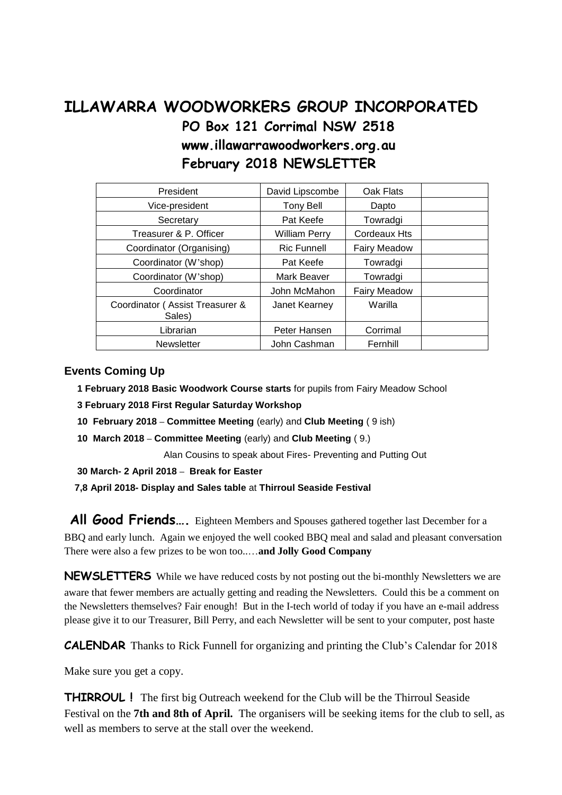# **ILLAWARRA WOODWORKERS GROUP INCORPORATED PO Box 121 Corrimal NSW 2518 www.illawarrawoodworkers.org.au February 2018 NEWSLETTER**

| President                                 | David Lipscombe      | Oak Flats           |  |
|-------------------------------------------|----------------------|---------------------|--|
| Vice-president                            | Tony Bell            | Dapto               |  |
| Secretary                                 | Pat Keefe            | Towradgi            |  |
| Treasurer & P. Officer                    | <b>William Perry</b> | Cordeaux Hts        |  |
| Coordinator (Organising)                  | <b>Ric Funnell</b>   | <b>Fairy Meadow</b> |  |
| Coordinator (W'shop)                      | Pat Keefe            | Towradgi            |  |
| Coordinator (W'shop)                      | Mark Beaver          | Towradgi            |  |
| Coordinator                               | John McMahon         | <b>Fairy Meadow</b> |  |
| Coordinator (Assist Treasurer &<br>Sales) | Janet Kearney        | Warilla             |  |
| Librarian                                 | Peter Hansen         | Corrimal            |  |
| <b>Newsletter</b>                         | John Cashman         | Fernhill            |  |

#### **Events Coming Up**

- **1 February 2018 Basic Woodwork Course starts** for pupils from Fairy Meadow School
- **3 February 2018 First Regular Saturday Workshop**
- **10 February 2018 – Committee Meeting** (early) and **Club Meeting** ( 9 ish)
- **10 March 2018 – Committee Meeting** (early) and **Club Meeting** ( 9.)

Alan Cousins to speak about Fires- Preventing and Putting Out

- **30 March- 2 April 2018 – Break for Easter**
- **7,8 April 2018- Display and Sales table** at **Thirroul Seaside Festival**

All Good Friends.... Eighteen Members and Spouses gathered together last December for a BBQ and early lunch. Again we enjoyed the well cooked BBQ meal and salad and pleasant conversation There were also a few prizes to be won too..…**and Jolly Good Company**

**NEWSLETTERS** While we have reduced costs by not posting out the bi-monthly Newsletters we are aware that fewer members are actually getting and reading the Newsletters. Could this be a comment on the Newsletters themselves? Fair enough! But in the I-tech world of today if you have an e-mail address please give it to our Treasurer, Bill Perry, and each Newsletter will be sent to your computer, post haste

**CALENDAR** Thanks to Rick Funnell for organizing and printing the Club's Calendar for 2018

Make sure you get a copy.

**THIRROUL !** The first big Outreach weekend for the Club will be the Thirroul Seaside Festival on the **7th and 8th of April.** The organisers will be seeking items for the club to sell, as well as members to serve at the stall over the weekend.